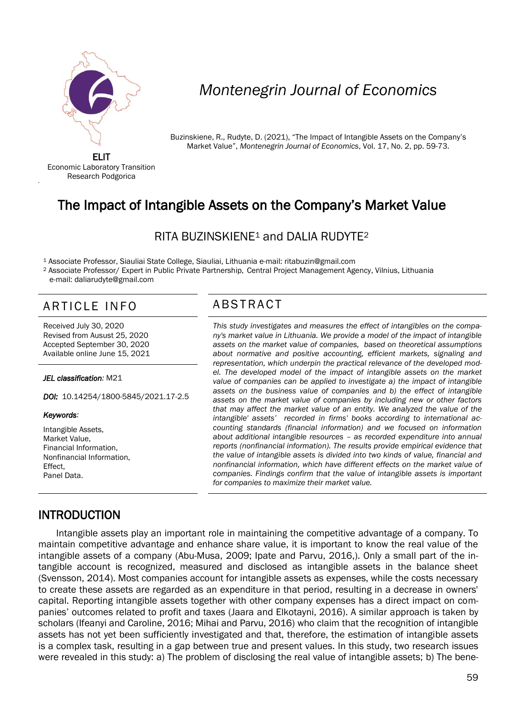

# *Montenegrin Journal of Economics*

Buzinskiene, R., Rudyte, D. (2021), "The Impact of Intangible Assets on the Company's Market Value", *Montenegrin Journal of Economics*, Vol. 17, No. 2, pp. 59-73.

ELIT Economic Laboratory Transition Research Podgorica

'

# The Impact of Intangible Assets on the Company's Market Value

## RITA BUZINSKIENE<sup>1</sup> and DALIA RUDYTE<sup>2</sup>

<sup>1</sup> Associate Professor, Siauliai State College, Siauliai, Lithuania e-mail: ritabuzin@gmail.com

<sup>2</sup> Associate Professor/ Expert in Public Private Partnership, Central Project Management Agency, Vilnius, Lithuania e-mail: daliarudyte@gmail.com

# ARTICLE INFO ABSTRACT

Received July 30, 2020 Revised from Ausust 25, 2020 Accepted September 30, 2020 Available online June 15, 2021

#### *JEL classification:* M21

*DOI:* 10.14254/1800-5845/2021.17-2.5

#### *Keywords:*

Intangible Assets, Market Value, Financial Information, Nonfinancial Information, Effect, Panel Data.

 *This study investigates and measures the effect of intangibles on the company's market value in Lithuania. We provide a model of the impact of intangible assets on the market value of companies, based on theoretical assumptions about normative and positive accounting, efficient markets, signaling and representation, which underpin the practical relevance of the developed model. The developed model of the impact of intangible assets on the market value of companies can be applied to investigate a) the impact of intangible assets on the business value of companies and b) the effect of intangible assets on the market value of companies by including new or other factors that may affect the market value of an entity. We analyzed the value of the intangible' assets' recorded in firms' books according to international accounting standards (financial information) and we focused on information about additional intangible resources – as recorded expenditure into annual reports (nonfinancial information). The results provide empirical evidence that the value of intangible assets is divided into two kinds of value, financial and nonfinancial information, which have different effects on the market value of companies. Findings confirm that the value of intangible assets is important for companies to maximize their market value.*

## **INTRODUCTION**

Intangible assets play an important role in maintaining the competitive advantage of a company. To maintain competitive advantage and enhance share value, it is important to know the real value of the intangible assets of a company (Abu-Musa, 2009; Ipate and Parvu, 2016,). Only a small part of the intangible account is recognized, measured and disclosed as intangible assets in the balance sheet (Svensson, 2014). Most companies account for intangible assets as expenses, while the costs necessary to create these assets are regarded as an expenditure in that period, resulting in a decrease in owners' capital. Reporting intangible assets together with other company expenses has a direct impact on companies' outcomes related to profit and taxes (Jaara and Elkotayni, 2016). A similar approach is taken by scholars (Ifeanyi and Caroline, 2016; Mihai and Parvu, 2016) who claim that the recognition of intangible assets has not yet been sufficiently investigated and that, therefore, the estimation of intangible assets is a complex task, resulting in a gap between true and present values. In this study, two research issues were revealed in this study: a) The problem of disclosing the real value of intangible assets; b) The bene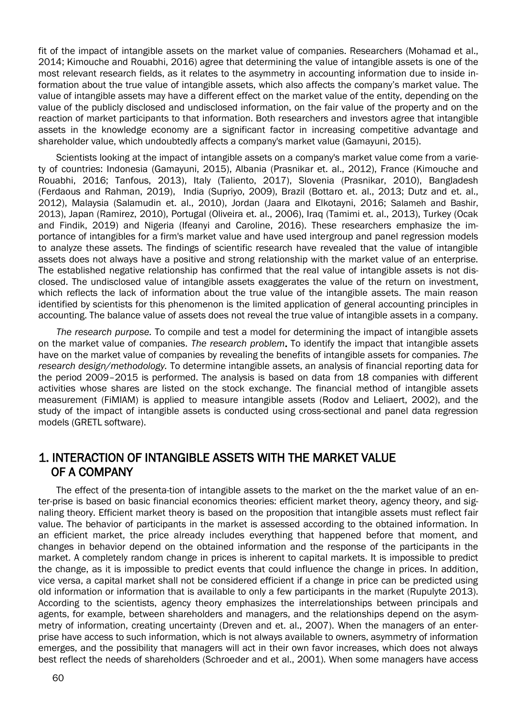fit of the impact of intangible assets on the market value of companies. Researchers (Mohamad et al., 2014; Kimouche and Rouabhi, 2016) agree that determining the value of intangible assets is one of the most relevant research fields, as it relates to the asymmetry in accounting information due to inside information about the true value of intangible assets, which also affects the company's market value. The value of intangible assets may have a different effect on the market value of the entity, depending on the value of the publicly disclosed and undisclosed information, on the fair value of the property and on the reaction of market participants to that information. Both researchers and investors agree that intangible assets in the knowledge economy are a significant factor in increasing competitive advantage and shareholder value, which undoubtedly affects a company's market value (Gamayuni, 2015).

Scientists looking at the impact of intangible assets on a company's market value come from a variety of countries: Indonesia (Gamayuni, 2015), Albania (Prasnikar et. al., 2012), France (Kimouche and Rouabhi, 2016; Tanfous, 2013), Italy (Taliento, 2017), Slovenia (Prasnikar, 2010), Bangladesh [\(Ferdaous](https://www.emerald.com/insight/search?q=Jannatul%20Ferdaous) and [Rahman, 2019\),](https://www.emerald.com/insight/search?q=Mohammad%20Mizanur%20Rahman) India (Supriyo, 2009), Brazil (Bottaro et. al., 2013; Dutz and et. al., 2012), Malaysia (Salamudin et. al., 2010), Jordan (Jaara and Elkotayni, 2016; Salameh and Bashir, 2013), Japan (Ramirez, 2010), Portugal (Oliveira et. al., 2006), Iraq (Tamimi et. al., 2013), Turkey (Ocak and Findik, 2019) and Nigeria (Ifeanyi and Caroline, 2016). These researchers emphasize the importance of intangibles for a firm's market value and have used intergroup and panel regression models to analyze these assets. The findings of scientific research have revealed that the value of intangible assets does not always have a positive and strong relationship with the market value of an enterprise. The established negative relationship has confirmed that the real value of intangible assets is not disclosed. The undisclosed value of intangible assets exaggerates the value of the return on investment, which reflects the lack of information about the true value of the intangible assets. The main reason identified by scientists for this phenomenon is the limited application of general accounting principles in accounting. The balance value of assets does not reveal the true value of intangible assets in a company.

*The research purpose.* To compile and test a model for determining the impact of intangible assets on the market value of companies. *The research problem*. To identify the impact that intangible assets have on the market value of companies by revealing the benefits of intangible assets for companies. *The research design/methodology.* To determine intangible assets, an analysis of financial reporting data for the period 2009–2015 is performed. The analysis is based on data from 18 companies with different activities whose shares are listed on the stock exchange. The financial method of intangible assets measurement (FiMIAM) is applied to measure intangible assets (Rodov and Leliaert, 2002), and the study of the impact of intangible assets is conducted using cross-sectional and panel data regression models (GRETL software).

## 1. INTERACTION OF INTANGIBLE ASSETS WITH THE MARKET VALUE OF A COMPANY

The effect of the presenta-tion of intangible assets to the market on the the market value of an enter-prise is based on basic financial economics theories: efficient market theory, agency theory, and signaling theory. Efficient market theory is based on the proposition that intangible assets must reflect fair value. The behavior of participants in the market is assessed according to the obtained information. In an efficient market, the price already includes everything that happened before that moment, and changes in behavior depend on the obtained information and the response of the participants in the market. A completely random change in prices is inherent to capital markets. It is impossible to predict the change, as it is impossible to predict events that could influence the change in prices. In addition, vice versa, a capital market shall not be considered efficient if a change in price can be predicted using old information or information that is available to only a few participants in the market (Rupulyte 2013). According to the scientists, agency theory emphasizes the interrelationships between principals and agents, for example, between shareholders and managers, and the relationships depend on the asymmetry of information, creating uncertainty (Dreven and et. al., 2007). When the managers of an enterprise have access to such information, which is not always available to owners, asymmetry of information emerges, and the possibility that managers will act in their own favor increases, which does not always best reflect the needs of shareholders (Schroeder and et al., 2001). When some managers have access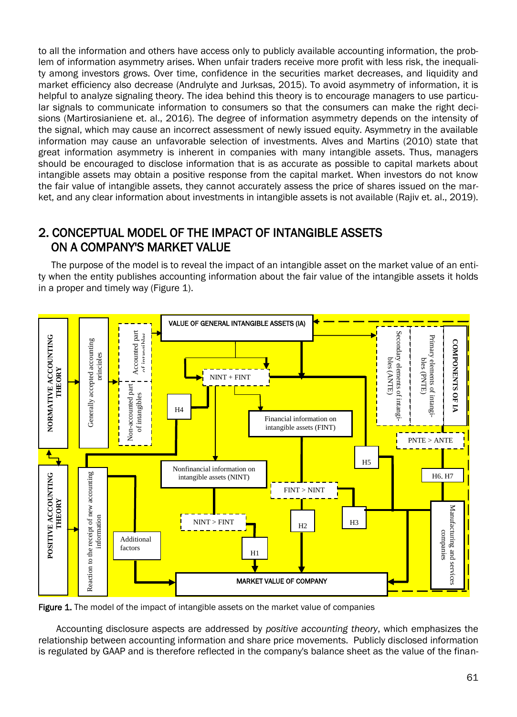to all the information and others have access only to publicly available accounting information, the problem of information asymmetry arises. When unfair traders receive more profit with less risk, the inequality among investors grows. Over time, confidence in the securities market decreases, and liquidity and market efficiency also decrease (Andrulyte and Jurksas, 2015). To avoid asymmetry of information, it is helpful to analyze signaling theory. The idea behind this theory is to encourage managers to use particular signals to communicate information to consumers so that the consumers can make the right decisions (Martirosianiene et. al., 2016). The degree of information asymmetry depends on the intensity of the signal, which may cause an incorrect assessment of newly issued equity. Asymmetry in the available information may cause an unfavorable selection of investments. Alves and Martins (2010) state that great information asymmetry is inherent in companies with many intangible assets. Thus, managers should be encouraged to disclose information that is as accurate as possible to capital markets about intangible assets may obtain a positive response from the capital market. When investors do not know the fair value of intangible assets, they cannot accurately assess the price of shares issued on the market, and any clear information about investments in intangible assets is not available (Rajiv et. al., 2019).

# 2. CONCEPTUAL MODEL OF THE IMPACT OF INTANGIBLE ASSETS ON A COMPANY'S MARKET VALUE

The purpose of the model is to reveal the impact of an intangible asset on the market value of an entity when the entity publishes accounting information about the fair value of the intangible assets it holds in a proper and timely way (Figure 1).



Figure 1. The model of the impact of intangible assets on the market value of companies

Accounting disclosure aspects are addressed by *positive accounting theory*, which emphasizes the relationship between accounting information and share price movements. Publicly disclosed information is regulated by GAAP and is therefore reflected in the company's balance sheet as the value of the finan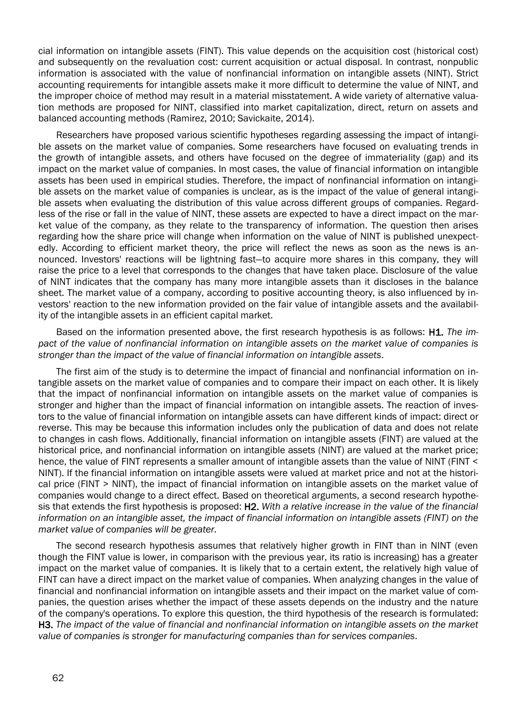cial information on intangible assets (FINT). This value depends on the acquisition cost (historical cost) and subsequently on the revaluation cost: current acquisition or actual disposal. In contrast, nonpublic information is associated with the value of nonfinancial information on intangible assets (NINT). Strict accounting requirements for intangible assets make it more difficult to determine the value of NINT, and the improper choice of method may result in a material misstatement. A wide variety of alternative valuation methods are proposed for NINT, classified into market capitalization, direct, return on assets and balanced accounting methods (Ramirez, 2010; Savickaite, 2014).

Researchers have proposed various scientific hypotheses regarding assessing the impact of intangible assets on the market value of companies. Some researchers have focused on evaluating trends in the growth of intangible assets, and others have focused on the degree of immateriality (gap) and its impact on the market value of companies. In most cases, the value of financial information on intangible assets has been used in empirical studies. Therefore, the impact of nonfinancial information on intangible assets on the market value of companies is unclear, as is the impact of the value of general intangible assets when evaluating the distribution of this value across different groups of companies. Regardless of the rise or fall in the value of NINT, these assets are expected to have a direct impact on the market value of the company, as they relate to the transparency of information. The question then arises regarding how the share price will change when information on the value of NINT is published unexpectedly. According to efficient market theory, the price will reflect the news as soon as the news is announced. Investors' reactions will be lightning fast—to acquire more shares in this company, they will raise the price to a level that corresponds to the changes that have taken place. Disclosure of the value of NINT indicates that the company has many more intangible assets than it discloses in the balance sheet. The market value of a company, according to positive accounting theory, is also influenced by investors' reaction to the new information provided on the fair value of intangible assets and the availability of the intangible assets in an efficient capital market.

Based on the information presented above, the first research hypothesis is as follows: H1. *The impact of the value of nonfinancial information on intangible assets on the market value of companies is stronger than the impact of the value of financial information on intangible assets*.

The first aim of the study is to determine the impact of financial and nonfinancial information on intangible assets on the market value of companies and to compare their impact on each other. It is likely that the impact of nonfinancial information on intangible assets on the market value of companies is stronger and higher than the impact of financial information on intangible assets. The reaction of investors to the value of financial information on intangible assets can have different kinds of impact: direct or reverse. This may be because this information includes only the publication of data and does not relate to changes in cash flows. Additionally, financial information on intangible assets (FINT) are valued at the historical price, and nonfinancial information on intangible assets (NINT) are valued at the market price; hence, the value of FINT represents a smaller amount of intangible assets than the value of NINT (FINT < NINT). If the financial information on intangible assets were valued at market price and not at the historical price (FINT > NINT), the impact of financial information on intangible assets on the market value of companies would change to a direct effect. Based on theoretical arguments, a second research hypothesis that extends the first hypothesis is proposed: H2. *With a relative increase in the value of the financial information on an intangible asset, the impact of financial information on intangible assets (FINT) on the market value of companies will be greater.*

The second research hypothesis assumes that relatively higher growth in FINT than in NINT (even though the FINT value is lower, in comparison with the previous year, its ratio is increasing) has a greater impact on the market value of companies. It is likely that to a certain extent, the relatively high value of FINT can have a direct impact on the market value of companies. When analyzing changes in the value of financial and nonfinancial information on intangible assets and their impact on the market value of companies, the question arises whether the impact of these assets depends on the industry and the nature of the company's operations. To explore this question, the third hypothesis of the research is formulated: H3. *The impact of the value of financial and nonfinancial information on intangible assets on the market value of companies is stronger for manufacturing companies than for services companies*.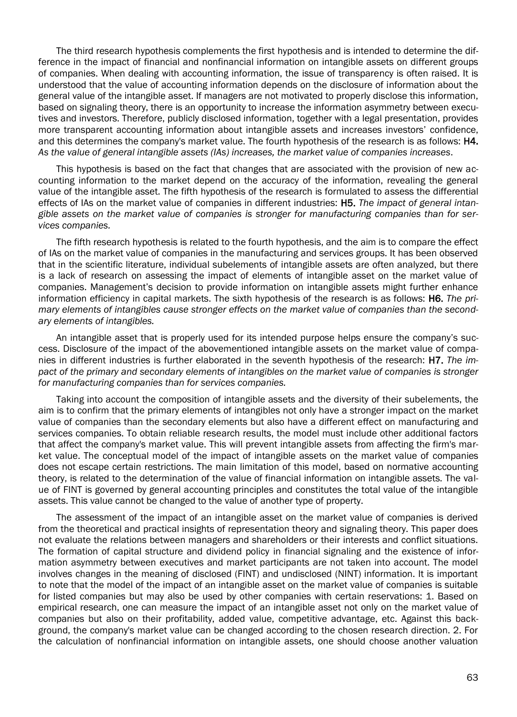The third research hypothesis complements the first hypothesis and is intended to determine the difference in the impact of financial and nonfinancial information on intangible assets on different groups of companies. When dealing with accounting information, the issue of transparency is often raised. It is understood that the value of accounting information depends on the disclosure of information about the general value of the intangible asset. If managers are not motivated to properly disclose this information, based on signaling theory, there is an opportunity to increase the information asymmetry between executives and investors. Therefore, publicly disclosed information, together with a legal presentation, provides more transparent accounting information about intangible assets and increases investors' confidence, and this determines the company's market value. The fourth hypothesis of the research is as follows: H4. *As the value of general intangible assets (IAs) increases, the market value of companies increases*.

This hypothesis is based on the fact that changes that are associated with the provision of new accounting information to the market depend on the accuracy of the information, revealing the general value of the intangible asset. The fifth hypothesis of the research is formulated to assess the differential effects of IAs on the market value of companies in different industries: H5. *The impact of general intangible assets on the market value of companies is stronger for manufacturing companies than for services companies.*

The fifth research hypothesis is related to the fourth hypothesis, and the aim is to compare the effect of IAs on the market value of companies in the manufacturing and services groups. It has been observed that in the scientific literature, individual subelements of intangible assets are often analyzed, but there is a lack of research on assessing the impact of elements of intangible asset on the market value of companies. Management's decision to provide information on intangible assets might further enhance information efficiency in capital markets. The sixth hypothesis of the research is as follows: H6. *The primary elements of intangibles cause stronger effects on the market value of companies than the secondary elements of intangibles.*

An intangible asset that is properly used for its intended purpose helps ensure the company's success. Disclosure of the impact of the abovementioned intangible assets on the market value of companies in different industries is further elaborated in the seventh hypothesis of the research: H7. *The impact of the primary and secondary elements of intangibles on the market value of companies is stronger for manufacturing companies than for services companies.*

Taking into account the composition of intangible assets and the diversity of their subelements, the aim is to confirm that the primary elements of intangibles not only have a stronger impact on the market value of companies than the secondary elements but also have a different effect on manufacturing and services companies. To obtain reliable research results, the model must include other additional factors that affect the company's market value. This will prevent intangible assets from affecting the firm's market value. The conceptual model of the impact of intangible assets on the market value of companies does not escape certain restrictions. The main limitation of this model, based on normative accounting theory, is related to the determination of the value of financial information on intangible assets. The value of FINT is governed by general accounting principles and constitutes the total value of the intangible assets. This value cannot be changed to the value of another type of property.

The assessment of the impact of an intangible asset on the market value of companies is derived from the theoretical and practical insights of representation theory and signaling theory. This paper does not evaluate the relations between managers and shareholders or their interests and conflict situations. The formation of capital structure and dividend policy in financial signaling and the existence of information asymmetry between executives and market participants are not taken into account. The model involves changes in the meaning of disclosed (FINT) and undisclosed (NINT) information. It is important to note that the model of the impact of an intangible asset on the market value of companies is suitable for listed companies but may also be used by other companies with certain reservations: 1. Based on empirical research, one can measure the impact of an intangible asset not only on the market value of companies but also on their profitability, added value, competitive advantage, etc. Against this background, the company's market value can be changed according to the chosen research direction. 2. For the calculation of nonfinancial information on intangible assets, one should choose another valuation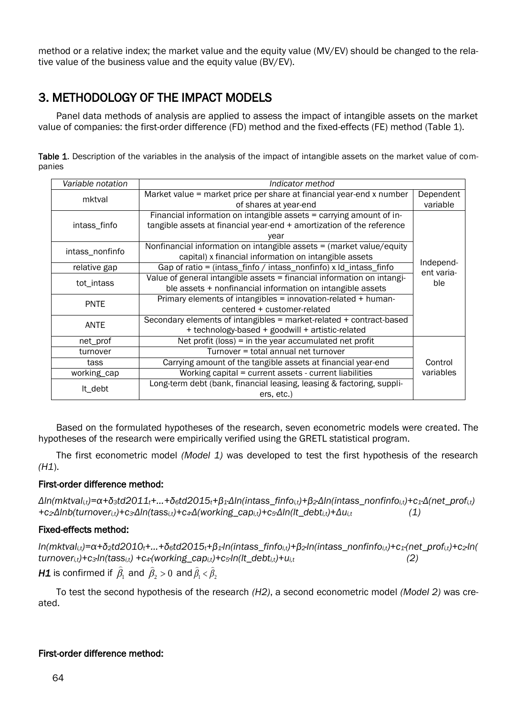method or a relative index; the market value and the equity value (MV/EV) should be changed to the relative value of the business value and the equity value (BV/EV).

# 3. METHODOLOGY OF THE IMPACT MODELS

Panel data methods of analysis are applied to assess the impact of intangible assets on the market value of companies: the first-order difference (FD) method and the fixed-effects (FE) method (Table 1).

Table 1. Description of the variables in the analysis of the impact of intangible assets on the market value of companies

| Variable notation | Indicator method                                                       |                         |  |  |
|-------------------|------------------------------------------------------------------------|-------------------------|--|--|
| mktval            | Market value = market price per share at financial year-end x number   | Dependent               |  |  |
|                   | of shares at year-end                                                  | variable                |  |  |
|                   | Financial information on intangible assets = carrying amount of in-    |                         |  |  |
| intass_finfo      | tangible assets at financial year-end + amortization of the reference  |                         |  |  |
|                   | year                                                                   |                         |  |  |
| intass_nonfinfo   | Nonfinancial information on intangible assets $=$ (market value/equity |                         |  |  |
|                   | capital) x financial information on intangible assets                  |                         |  |  |
| relative gap      | Gap of ratio = (intass_finfo / intass_nonfinfo) x ld_intass_finfo      | Independ-<br>ent varia- |  |  |
| tot_intass        | Value of general intangible assets = financial information on intangi- | ble                     |  |  |
|                   | ble assets + nonfinancial information on intangible assets             |                         |  |  |
| <b>PNTE</b>       | Primary elements of intangibles = innovation-related + human-          |                         |  |  |
|                   | centered + customer-related                                            |                         |  |  |
| <b>ANTE</b>       | Secondary elements of intangibles = market-related + contract-based    |                         |  |  |
|                   | + technology-based + goodwill + artistic-related                       |                         |  |  |
| net_prof          | Net profit (loss) = in the year accumulated net profit                 |                         |  |  |
| turnover          | Turnover = total annual net turnover                                   |                         |  |  |
| tass              | Carrying amount of the tangible assets at financial year-end           |                         |  |  |
| working_cap       | Working capital = current assets - current liabilities                 |                         |  |  |
|                   | Long-term debt (bank, financial leasing, leasing & factoring, suppli-  |                         |  |  |
| lt_debt           | ers, etc.)                                                             |                         |  |  |

Based on the formulated hypotheses of the research, seven econometric models were created. The hypotheses of the research were empirically verified using the GRETL statistical program.

The first econometric model *(Model 1)* was developed to test the first hypothesis of the research *(H1*).

#### First-order difference method:

 $\Delta$ In(mktval<sub>i,t</sub>)= $\alpha$ + $\delta$ <sub>3</sub>td2011<sub>t</sub>+...+ $\delta$ <sub>6</sub>td2015<sub>t</sub>+ $\beta$ <sub>1</sub>. $\Delta$ In(intass\_finfo<sub>i,t</sub>)+ $\beta$ <sub>2</sub> $\Delta$ In(intass\_nonfinfo<sub>i,t</sub>)+ $c$ <sub>1</sub>. $\Delta$ (net\_prof<sub>i,t</sub>) *+c2·Δlnb(turnoveri,t)+c3·Δln(tassi,t)+c4·Δ(working\_capi,t)+c5·Δln(lt\_debti,t)+Δui,t (1)*

#### Fixed-effects method:

 $ln(mktval<sub>it</sub>) = \alpha + \delta_2 t d2010_t + ... + \delta_6 t d2015_t + \beta_1 ln(intass\_finfo<sub>it</sub>) + \beta_2 ln(intass\_nonfinfo<sub>it</sub>) + c_1 (net\_prof<sub>it</sub>) + c_2 ln(t)$ *turnoveri,t)+c3·ln(tassi,t) +c4·(working\_capi,t)+c5·ln(lt\_debti,t)+ui,t (2)*

*H1* is confirmed if  $\widehat{\beta}_1$  and  $\widehat{\beta}_2 > 0$  and  $\widehat{\beta}_1 < \widehat{\beta}_2$ 

To test the second hypothesis of the research *(H2)*, a second econometric model *(Model 2)* was created.

#### First-order difference method: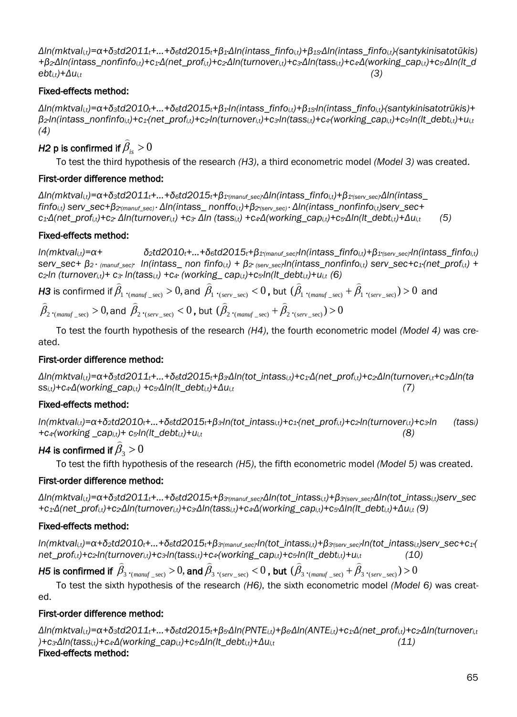$\Delta$ ln(mktval<sub>i,t</sub>)= $\alpha$ + $\delta$ <sub>3</sub>td2011<sub>t</sub>+...+ $\delta$ <sub>6</sub>td2015<sub>t</sub>+ $\beta$ <sub>1</sub>. $\Delta$ ln(intass\_finfo<sub>i,t</sub>)+ $\beta$ <sub>1s</sub>. $\Delta$ ln(intass\_finfo<sub>i,t</sub>)(santykinisatotūkis) + $\beta_2$ Δln(intass\_nonfinfo<sub>it</sub>)+c<sub>1</sub>Δ(net\_prof<sub>it</sub>)+c<sub>2</sub>Δln(turnover<sub>it</sub>)+c<sub>3</sub>Δln(tass<sub>it</sub>)+c<sub>4</sub>Δ(working\_cap<sub>it</sub>)+c<sub>5</sub>Δln(lt\_d  $e^{bt}$ *i*,*t*)+*Δu*<sub>*it*</sub> (3)

#### Fixed-effects method:

 $\Delta$ In(mktval<sub>it</sub>)= $\alpha$ + $\delta_3$ td2010<sub>t</sub>+...+ $\delta_6$ td2015<sub>t</sub>+ $\beta_4$ ·In(intass finfo<sub>it</sub>)+ $\beta_4$ s·In(intass finfo<sub>it</sub>)(santykinisatotrūkis)+  $B_2$ In(intass nonfinfo<sub>it</sub>)+c<sub>1</sub>(net prof<sub>it</sub>)+c<sub>2</sub>-In(turnover<sub>it</sub>)+c<sub>3</sub>-In(tass<sub>it</sub>)+c<sub>4</sub>(working cap<sub>it</sub>)+c<sub>5</sub>-In(lt debt<sub>it</sub>)+u<sub>it</sub> *(4)* 

# *H2* p is confirmed if  $\widehat{\beta}_{is} > 0$

To test the third hypothesis of the research *(H3)*, a third econometric model *(Model 3)* was created.

#### First-order difference method:

 $\Delta$ ln(mktval<sub>it</sub>)= $\alpha$ + $\delta_3$ td2011<sub>t</sub>+...+ $\delta_6$ td2015<sub>t</sub>+ $\beta_1$ ·<sub>(manuf sec</sub>, $\Delta$ ln(intass finfo<sub>it</sub>)+ $\beta_1$ ·<sub>(serv sec</sub>, $\Delta$ ln(intass  $finfo_{i,t}$ ) serv\_sec+ $\beta_{2'(manuf\_sec)}$ .  $\Delta ln(intass\_nonffo_{i,t}) + \beta_{2'(sec\vee sec)}$ .  $\Delta ln(intass\_nonfinfo_{i,t})$ serv\_sec+  $c_1\Delta$ (net\_prof<sub>i,t</sub>)+c<sub>2</sub>.  $\Delta$ In(turnover<sub>i,t</sub>) +c<sub>3</sub>.  $\Delta$ In (tass<sub>i,t</sub>) +c<sub>4</sub> $\Delta$ (working\_cap<sub>i,t</sub>)+c<sub>5</sub> $\Delta$ In(It\_debt<sub>i,t</sub>)+ $\Delta u_{i,t}$  (5)

#### Fixed-effects method:

 $ln(mktval_{it}) = \alpha + \delta_2 td2010_t + ... + \delta_6 td2015_t + \beta_1\gamma_{(manuf, sec)} ln(intass_finfo_{it}) + \beta_1\gamma_{(ser, sec)} ln(intass_finfo_{it})$ serv\_sec+  $\beta_2$ · (manuf\_sec) ln(intass\_non finfo<sub>i,t</sub>) +  $\beta_2$ · (serv\_sec)ln(intass\_nonfinfo<sub>i,t</sub>) serv\_sec+c<sub>1</sub>·(net\_prof<sub>i,t</sub>) + *c2·ln (turnoveri,t)+ c3· ln(tassi,t) +c4· (working\_ capi,t)+c5·ln(lt\_debti,t)+ui,t (6)*

 $H3$  is confirmed if  $\widehat{\beta}_1$   $\cdot_{(many\_sec)} > 0,$  and  $\widehat{\beta}_1$   $\cdot_{(serv\_sec)} < 0$  , but  $(\widehat{\beta}_1$   $\cdot_{(many\_sec)} + \widehat{\beta}_1$   $\cdot_{(serv\_sec)}) > 0$  and  $\widehat{\beta}_{2+(_{many\_sec})}>0,$  and  $\widehat{\beta}_{2+(_{serv\_sec})}<0$  , but  $(\widehat{\beta}_{2+(_{many\_sec})}+\widehat{\beta}_{2+(_{serv\_sec})})>0$ 

To test the fourth hypothesis of the research *(H4)*, the fourth econometric model *(Model 4)* was created.

#### First-order difference method:

 $\Delta$ In(mktval<sub>i,t</sub>)= $\alpha$ + $\delta$ <sub>3</sub>td2011<sub>t</sub>+...+ $\delta$ <sub>6</sub>td2015<sub>t</sub>+ $\beta$ <sub>3</sub> $\Delta$ In(tot\_intass<sub>i,t</sub>)+c<sub>1</sub> $\Delta$ (net\_prof<sub>i,t</sub>)+c<sub>2</sub> $\Delta$ In(turnover<sub>i,t</sub>+c<sub>3</sub> $\Delta$ In(ta *ssi,t)+c4·Δ(working\_capi,t) +c5·Δln(lt\_debti,t)+Δui,t (7)*

## Fixed-effects method:

 $ln(mktval<sub>it</sub>) = \alpha + \delta_2 td2010<sub>t</sub> + ... + \delta_6 td2015<sub>t</sub> + \beta_3 ln(tot intass<sub>i,t</sub>) + c_1 (net prof<sub>i,t</sub>) + c_2 ln(turnover<sub>i,t</sub>) + c_3 ln$  (tass<sub>i</sub>) *+c4·(working \_capi,t)+ c5·ln(lt\_debti,t)+ui,t (8)*

#### *H4* is confirmed if  $\beta_{\scriptscriptstyle 3}$   $>$   $0$  $\sim$  . The set of the set of the set of the set of the set of the set of the set of the set of the set of the set of the set of the set of the set of the set of the set of the set of the set of the set of the set of the s

To test the fifth hypothesis of the research *(H5)*, the fifth econometric model *(Model 5)* was created.

## First-order difference method:

 $\Delta$ In(mktvali,t)= $\alpha$ + $\delta$ <sub>3</sub>td2011<sub>t</sub>+...+ $\delta$ <sub>6</sub>td2015<sub>t</sub>+ $\beta$ <sub>3'(manuf\_sec)</sub> $\Delta$ In(tot\_intass<sub>i,t</sub>)+ $\beta$ <sub>3'(serv\_sec)</sub> $\Delta$ In(tot\_intass<sub>i,t</sub>)serv\_sec +c<sub>1</sub> $\Delta$ (net\_prof<sub>i,t</sub>)+c<sub>2</sub> $\Delta$ In(turnover<sub>i,t</sub>)+c<sub>3</sub> $\Delta$ In(tass<sub>i,t</sub>)+c<sub>4</sub> $\Delta$ (working\_cap<sub>i,t</sub>)+c<sub>5</sub> $\Delta$ In(It\_debt<sub>i,t</sub>)+ $\Delta$ u<sub>i,t</sub> (9)

## Fixed-effects method:

 $ln(mktval_{i,t}) = \alpha + \delta_2 t d2010_t + ... + \delta_6 t d2015_t + \beta_3$  (manuf\_sec) $ln(tot_intass_{i,t}) + \beta_3$  (serv\_sec) $ln(tot_intass_{i,t})$ Serv\_sec+c<sub>1</sub>(  $net\_prof_{i,t}+c_2\ln(turnover_{i,t})+c_3\ln(tass_{i,t})+c_4(working\_cap_{i,t})+c_5\ln(lt\_debt_{i,t})+u_{i,t}$  (10)  $\frac{n_1(1 - \alpha \cdot \alpha \cdot \alpha, t)}{2}$ 

H5 is confirmed if  $\widehat{\beta}_3$  .<sub>(manuf</sub> \_sec)  $>$   $0,$  and  $\widehat{\beta}_3$  .<sub>(serv\_sec)</sub>  $<$   $0$  , but  $(\widehat{\beta}_3$  .<sub>(manuf</sub> \_sec)  $+$   $\widehat{\beta}_3$  .<sub>(serv\_sec)</sub>)  $>$   $0$ 

To test the sixth hypothesis of the research *(H6)*, the sixth econometric model *(Model 6)* was created.

## First-order difference method:

 $\Delta$ In(mktval<sub>i,t</sub>)= $\alpha$ + $\delta$ <sub>3</sub>td2011<sub>t</sub>+...+ $\delta$ <sub>6</sub>td2015<sub>t</sub>+ $\beta$ <sub>5</sub> $\Delta$ In(PNTE<sub>i,t</sub>)+ $\beta$ <sub>6</sub> $\Delta$ In(ANTE<sub>i,t</sub>)+ $c_1\Delta$ (net\_prof<sub>i,t</sub>)+ $c_2\Delta$ In(turnover<sub>i,t</sub>) *)+c3·Δln(tassi,t)+c4·Δ(working\_capi,t)+c5·Δln(lt\_debti,t)+Δui,t (11)* Fixed-effects method: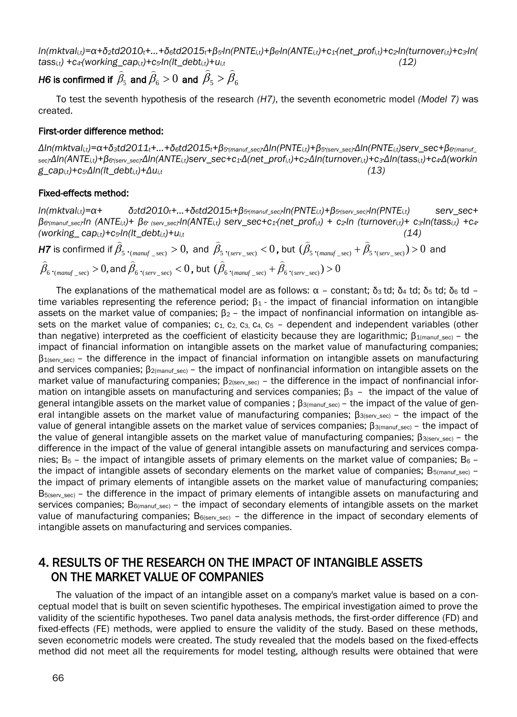$ln(mktval_{i,t}) = \alpha + \delta_2 t d2010_t + ... + \delta_6 t d2015_t + \beta_5 ln(PNTE_{i,t}) + \beta_6 ln(ANTE_{i,t}) + c_1 (net\_prof_{i,t}) + c_2 ln(turnover_{i,t}) + c_3 ln($  $t$ *ass<sub>i,t</sub>*) +c<sub>4</sub><sup></sup>(working\_cap<sub>*i,t*</sub>)+c<sub>5</sub><sup>*·ln*(/t\_debt<sub>*i,t*</sub>)+u<sub>*i,t*</sub> *(12)*</sup>

# *H6* is confirmed if  $\widehat{\beta}_5$  and  $\widehat{\beta}_6 > 0$  and  $\widehat{\beta}_5 > \widehat{\beta}_6$

To test the seventh hypothesis of the research *(H7)*, the seventh econometric model *(Model 7)* was created.

#### First-order difference method:

 $\Delta$ In(mktval<sub>i.t</sub>)= $\alpha$ + $\delta$ <sub>3</sub>td2011<sub>t</sub>+...+ $\delta$ <sub>6</sub>td2015<sub>t</sub>+ $\beta$ <sub>5'(manuf\_sec)</sub> $\Delta$ In(PNTE<sub>i,t</sub>)+ $\beta$ <sub>5'(serv\_sec)</sub> $\Delta$ In(PNTE<sub>i,t</sub>)serv\_sec+ $\beta$ <sub>6'(manuf\_</sub>  $_{\text{sec}}$ ; $\Delta ln(\text{ANTE}_{i,t})+\beta_{\text{G}(\text{sex}}$   $_{\text{sec}}$ ; $\Delta ln(\text{ANTE}_{i,t})$ serv  $\sec + c_1 \Delta(net)$  prof<sub>it</sub>)+c<sub>2</sub>· $\Delta ln(turnover_{i,t})+c_3 \cdot \Delta ln(tass_{i,t})+c_4 \Delta(workin)$ *g\_capi,t)+c5·Δln(lt\_debti,t)+Δui,t (13)*

#### Fixed-effects method:

 $ln(mktval_{it}) = \alpha + \delta_2 t d2010_t + ... + \delta_6 t d2015_t + \beta_5$  (manuf sec)  $ln(PNTE_{it}) + \beta_5$  (serv sec)  $ln(PNTE_{it})$  serv sec+  $\beta$ e(manuf\_sec)·ln (ANTE<sub>i,t</sub>)+  $\beta$ e (serv\_sec)·ln(ANTE<sub>i,t</sub>) serv\_sec+c<sub>1</sub>·(net\_prof<sub>i,t</sub>) + c<sub>2</sub>·ln (turnover<sub>i,t</sub>)+ c<sub>3</sub>·ln(tass<sub>i,t</sub>) + c4· *(working\_ capi,t)+c5·ln(lt\_debti,t)+ui,t (14)*

*H7* is confirmed if  $\widehat{\beta}_5$   $\cdot_{(many\_sec)}>0,$  and  $\widehat{\beta}_5$   $\cdot_{(serv\_sec)}<0$  , but  $(\widehat{\beta}_5$   $\cdot_{(many\_sec)}+\widehat{\beta}_5$   $\cdot_{(serv\_sec)})>0$  and  $\widehat{\beta}_6\cdot_{(many\_\sec)}>0,$  and  $\widehat{\beta}_6\cdot_{(serv\_\sec)}>0$  , but  $\ (\widehat{\beta}_6\cdot_{(many\_\sec)}>+\widehat{\beta}_6\cdot_{(serv\_\sec>})>0$ 

The explanations of the mathematical model are as follows:  $\alpha$  – constant; δ<sub>3</sub> td; δ<sub>4</sub> td; δ<sub>5</sub> td; δ<sub>6</sub> td – time variables representing the reference period;  $\beta_1$  - the impact of financial information on intangible assets on the market value of companies;  $β<sub>2</sub>$  – the impact of nonfinancial information on intangible assets on the market value of companies;  $c_1$ ,  $c_2$ ,  $c_3$ ,  $c_4$ ,  $c_5$  – dependent and independent variables (other than negative) interpreted as the coefficient of elasticity because they are logarithmic;  $β_{1(manuf\_sec)} -$  the impact of financial information on intangible assets on the market value of manufacturing companies;  $\beta_{1$ (serv sec) – the difference in the impact of financial information on intangible assets on manufacturing and services companies; β<sub>2(manuf sec)</sub> – the impact of nonfinancial information on intangible assets on the market value of manufacturing companies; β<sub>2(serv\_sec)</sub> – the difference in the impact of nonfinancial information on intangible assets on manufacturing and services companies;  $β_3 -$  the impact of the value of general intangible assets on the market value of companies ;  $B_{3(manuf, sec)}$  – the impact of the value of general intangible assets on the market value of manufacturing companies; β<sub>3(serv\_sec)</sub> – the impact of the value of general intangible assets on the market value of services companies;  $β_{3(manuf sec)} -$  the impact of the value of general intangible assets on the market value of manufacturing companies;  $\beta_{3\text{(serv sec)}}$  – the difference in the impact of the value of general intangible assets on manufacturing and services companies; Β5 – the impact of intangible assets of primary elements on the market value of companies; Β6 – the impact of intangible assets of secondary elements on the market value of companies; B<sub>5(manuf sec)</sub> – the impact of primary elements of intangible assets on the market value of manufacturing companies; B<sub>5(serv\_sec)</sub> – the difference in the impact of primary elements of intangible assets on manufacturing and services companies; Β6(manuf\_sec) – the impact of secondary elements of intangible assets on the market value of manufacturing companies; B<sub>6(serv\_sec)</sub> - the difference in the impact of secondary elements of intangible assets on manufacturing and services companies.

## 4. RESULTS OF THE RESEARCH ON THE IMPACT OF INTANGIBLE ASSETS ON THE MARKET VALUE OF COMPANIES

The valuation of the impact of an intangible asset on a company's market value is based on a conceptual model that is built on seven scientific hypotheses. The empirical investigation aimed to prove the validity of the scientific hypotheses. Two panel data analysis methods, the first-order difference (FD) and fixed-effects (FE) methods, were applied to ensure the validity of the study. Based on these methods, seven econometric models were created. The study revealed that the models based on the fixed-effects method did not meet all the requirements for model testing, although results were obtained that were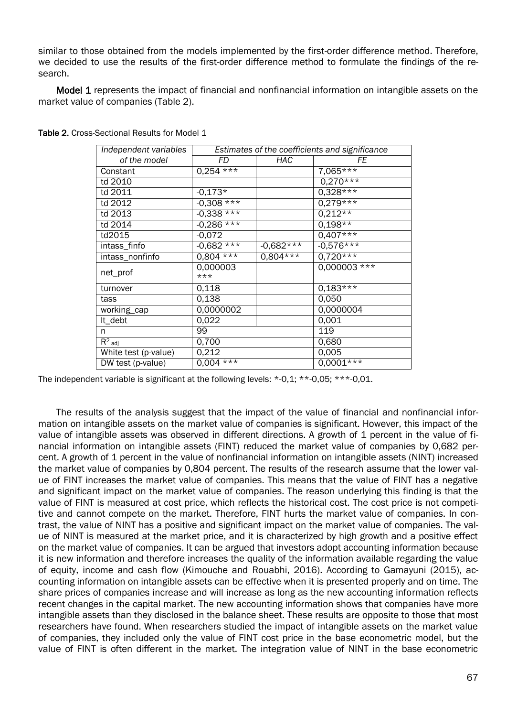similar to those obtained from the models implemented by the first-order difference method. Therefore, we decided to use the results of the first-order difference method to formulate the findings of the research.

**Model 1** represents the impact of financial and nonfinancial information on intangible assets on the market value of companies (Table 2).

| Independent variables | Estimates of the coefficients and significance |             |              |  |
|-----------------------|------------------------------------------------|-------------|--------------|--|
| of the model          | FD                                             | HAC         | FE           |  |
| Constant              | $0,254$ ***                                    |             | $7,065***$   |  |
| td 2010               |                                                |             | $0,270***$   |  |
| td 2011               | $-0,173*$                                      |             | $0,328***$   |  |
| td 2012               | $-0,308$ ***                                   |             | $0,279***$   |  |
| td 2013               | $-0,338$ ***                                   |             | $0,212**$    |  |
| td 2014               | $-0,286***$                                    |             | $0,198**$    |  |
| td2015                | $-0,072$                                       |             | $0,407***$   |  |
| intass_finfo          | $-0,682$ ***                                   | $-0.682***$ | $-0,576***$  |  |
| intass_nonfinfo       | $0.804$ ***                                    | $0.804***$  | $0.720***$   |  |
| net_prof              | 0.000003                                       |             | 0,000003 *** |  |
|                       | $***$                                          |             |              |  |
| turnover              | 0.118                                          |             | $0,183***$   |  |
| tass                  | 0,138                                          |             | 0.050        |  |
| working_cap           | 0.0000002                                      |             | 0,0000004    |  |
| It_debt               | 0,022                                          |             | 0,001        |  |
| n                     | 99                                             |             | 119          |  |
| $R^2$ adj             | 0,700                                          |             | 0,680        |  |
| White test (p-value)  | 0,212                                          |             | 0,005        |  |
| DW test (p-value)     | $0.004$ ***                                    |             | $0,0001***$  |  |

Table 2. Cross-Sectional Results for Model 1

The independent variable is significant at the following levels: \*-0,1; \*\*-0,05; \*\*\*-0,01.

The results of the analysis suggest that the impact of the value of financial and nonfinancial information on intangible assets on the market value of companies is significant. However, this impact of the value of intangible assets was observed in different directions. A growth of 1 percent in the value of financial information on intangible assets (FINT) reduced the market value of companies by 0,682 percent. A growth of 1 percent in the value of nonfinancial information on intangible assets (NINT) increased the market value of companies by 0,804 percent. The results of the research assume that the lower value of FINT increases the market value of companies. This means that the value of FINT has a negative and significant impact on the market value of companies. The reason underlying this finding is that the value of FINT is measured at cost price, which reflects the historical cost. The cost price is not competitive and cannot compete on the market. Therefore, FINT hurts the market value of companies. In contrast, the value of NINT has a positive and significant impact on the market value of companies. The value of NINT is measured at the market price, and it is characterized by high growth and a positive effect on the market value of companies. It can be argued that investors adopt accounting information because it is new information and therefore increases the quality of the information available regarding the value of equity, income and cash flow (Kimouche and Rouabhi, 2016). According to Gamayuni (2015), accounting information on intangible assets can be effective when it is presented properly and on time. The share prices of companies increase and will increase as long as the new accounting information reflects recent changes in the capital market. The new accounting information shows that companies have more intangible assets than they disclosed in the balance sheet. These results are opposite to those that most researchers have found. When researchers studied the impact of intangible assets on the market value of companies, they included only the value of FINT cost price in the base econometric model, but the value of FINT is often different in the market. The integration value of NINT in the base econometric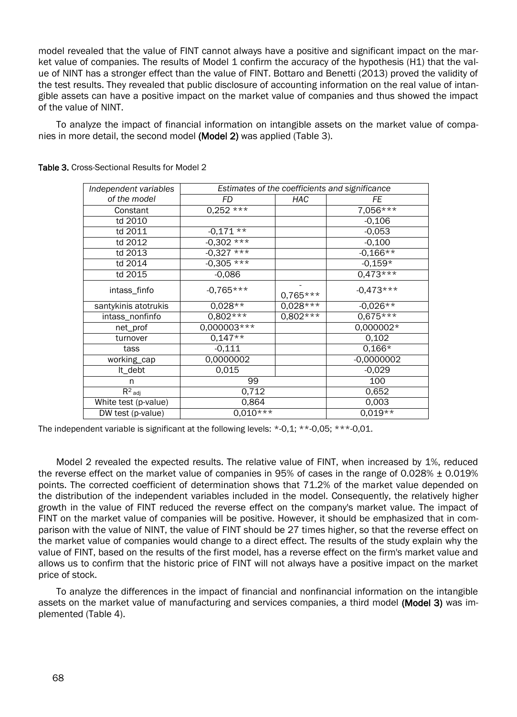model revealed that the value of FINT cannot always have a positive and significant impact on the market value of companies. The results of Model 1 confirm the accuracy of the hypothesis (H1) that the value of NINT has a stronger effect than the value of FINT. Bottaro and Benetti (2013) proved the validity of the test results. They revealed that public disclosure of accounting information on the real value of intangible assets can have a positive impact on the market value of companies and thus showed the impact of the value of NINT.

To analyze the impact of financial information on intangible assets on the market value of companies in more detail, the second model (Model 2) was applied (Table 3).

| Independent variables |               | Estimates of the coefficients and significance |              |
|-----------------------|---------------|------------------------------------------------|--------------|
| of the model          | FD<br>HAC     |                                                | FE           |
| Constant              | $0,252***$    |                                                | $7,056***$   |
| td 2010               |               |                                                | $-0,106$     |
| td 2011               | $-0.171**$    |                                                | $-0,053$     |
| td 2012               | $-0.302$ ***  |                                                | $-0,100$     |
| td 2013               | $-0.327$ ***  |                                                | $-0,166**$   |
| td 2014               | $-0,305***$   |                                                | $-0.159*$    |
| td 2015               | $-0,086$      |                                                | $0,473***$   |
| intass_finfo          | $-0.765***$   | $0,765***$                                     | $-0,473***$  |
| santykinis atotrukis  | $0,028**$     | $0,028***$                                     | $-0.026**$   |
| intass_nonfinfo       | $0,802***$    | $0,802***$                                     | $0,675***$   |
| net_prof              | $0,000003***$ |                                                | 0,000002*    |
| turnover              | $0,147**$     |                                                | 0,102        |
| tass                  | $-0,111$      |                                                | $0,166*$     |
| working_cap           | 0,0000002     |                                                | $-0,0000002$ |
| It_debt               | 0,015         |                                                | $-0,029$     |
| n                     | 99            |                                                | 100          |
| $R^2$ adj             | 0,712         |                                                | 0,652        |
| White test (p-value)  | 0,864         |                                                | 0,003        |
| DW test (p-value)     | $0,010***$    |                                                | $0.019**$    |

Table 3. Cross-Sectional Results for Model 2

The independent variable is significant at the following levels:  $*0.1$ ;  $**0.05$ ;  $***0.01$ .

Model 2 revealed the expected results. The relative value of FINT, when increased by 1%, reduced the reverse effect on the market value of companies in 95% of cases in the range of 0.028%  $\pm$  0.019% points. The corrected coefficient of determination shows that 71.2% of the market value depended on the distribution of the independent variables included in the model. Consequently, the relatively higher growth in the value of FINT reduced the reverse effect on the company's market value. The impact of FINT on the market value of companies will be positive. However, it should be emphasized that in comparison with the value of NINT, the value of FINT should be 27 times higher, so that the reverse effect on the market value of companies would change to a direct effect. The results of the study explain why the value of FINT, based on the results of the first model, has a reverse effect on the firm's market value and allows us to confirm that the historic price of FINT will not always have a positive impact on the market price of stock.

To analyze the differences in the impact of financial and nonfinancial information on the intangible assets on the market value of manufacturing and services companies, a third model (Model 3) was implemented (Table 4).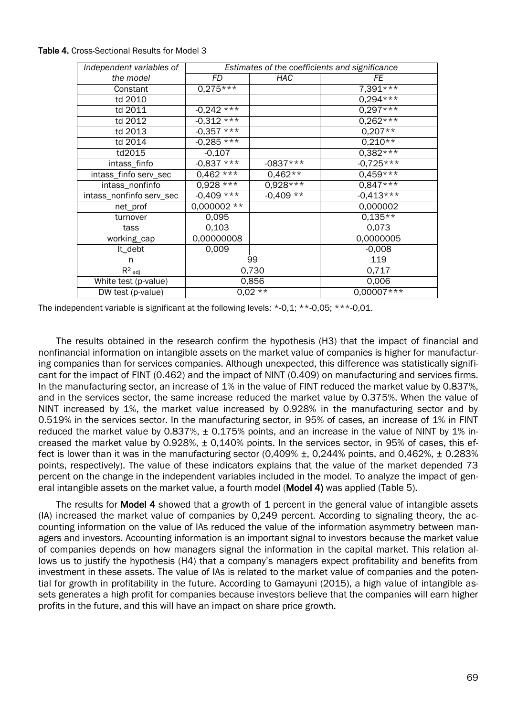| Independent variables of |               |            | Estimates of the coefficients and significance |
|--------------------------|---------------|------------|------------------------------------------------|
| the model                | FD            | <b>HAC</b> | FE                                             |
| Constant                 | $0,275***$    |            | $7,391***$                                     |
| td 2010                  |               |            | $0,294***$                                     |
| td 2011                  | $-0.242$ ***  |            | $0,297***$                                     |
| td 2012                  | $-0,312***$   |            | $0,262***$                                     |
| td 2013                  | $-0,357***$   |            | $0,207**$                                      |
| td 2014                  | $-0,285***$   |            | $0,210**$                                      |
| td2015                   | $-0,107$      |            | $0,382***$                                     |
| intass_finfo             | $-0.837***$   | $-0837***$ | $-0.725***$                                    |
| intass_finfo serv_sec    | $0,462***$    | $0.462**$  | $0,459***$                                     |
| intass_nonfinfo          | $0,928***$    | $0,928***$ | $0,847***$                                     |
| intass_nonfinfo serv_sec | $-0,409***$   | $-0,409**$ | $-0.413***$                                    |
| net_prof                 | $0,000002$ ** |            | 0,000002                                       |
| turnover                 | 0,095         |            | $0,135**$                                      |
| tass                     | 0,103         |            | 0,073                                          |
| working_cap              | 0,00000008    |            | 0,0000005                                      |
| It_debt                  | 0,009         |            | $-0,008$                                       |
| n                        | 99            |            | 119                                            |
| $R^2$ adj                | 0,730         |            | 0,717                                          |
| White test (p-value)     | 0,856         |            | 0,006                                          |
| DW test (p-value)        | $0,02***$     |            | $0,00007***$                                   |

#### Table 4. Cross-Sectional Results for Model 3

The independent variable is significant at the following levels: \*-0,1; \*\*-0,05; \*\*\*-0,01.

The results obtained in the research confirm the hypothesis (H3) that the impact of financial and nonfinancial information on intangible assets on the market value of companies is higher for manufacturing companies than for services companies. Although unexpected, this difference was statistically significant for the impact of FINT (0.462) and the impact of NINT (0.409) on manufacturing and services firms. In the manufacturing sector, an increase of 1% in the value of FINT reduced the market value by 0.837%, and in the services sector, the same increase reduced the market value by 0.375%. When the value of NINT increased by 1%, the market value increased by 0.928% in the manufacturing sector and by 0.519% in the services sector. In the manufacturing sector, in 95% of cases, an increase of 1% in FINT reduced the market value by 0.837%,  $\pm$  0.175% points, and an increase in the value of NINT by 1% increased the market value by 0.928%, ± 0,140% points. In the services sector, in 95% of cases, this effect is lower than it was in the manufacturing sector (0,409% ±, 0,244% points, and 0,462%, ± 0.283% points, respectively). The value of these indicators explains that the value of the market depended 73 percent on the change in the independent variables included in the model. To analyze the impact of general intangible assets on the market value, a fourth model (Model 4) was applied (Table 5).

The results for Model 4 showed that a growth of 1 percent in the general value of intangible assets (IA) increased the market value of companies by 0,249 percent. According to signaling theory, the accounting information on the value of IAs reduced the value of the information asymmetry between managers and investors. Accounting information is an important signal to investors because the market value of companies depends on how managers signal the information in the capital market. This relation allows us to justify the hypothesis (H4) that a company's managers expect profitability and benefits from investment in these assets. The value of IAs is related to the market value of companies and the potential for growth in profitability in the future. According to Gamayuni (2015), a high value of intangible assets generates a high profit for companies because investors believe that the companies will earn higher profits in the future, and this will have an impact on share price growth.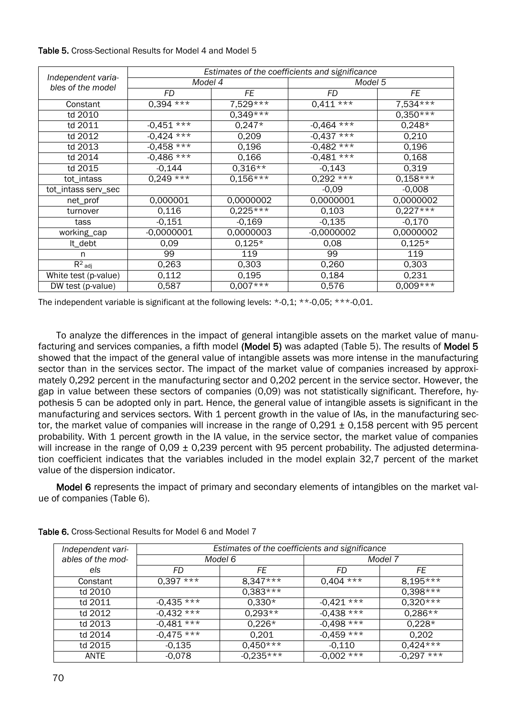|                                         | Estimates of the coefficients and significance |            |                   |            |  |
|-----------------------------------------|------------------------------------------------|------------|-------------------|------------|--|
| Independent varia-<br>bles of the model | Model 4                                        |            | Model 5           |            |  |
|                                         | FD                                             | FE         | FD                | FE         |  |
| Constant                                | $0,394***$                                     | $7,529***$ | $0,411***$        | $7,534***$ |  |
| td 2010                                 |                                                | $0,349***$ |                   | $0,350**$  |  |
| td 2011                                 | $-0,451***$                                    | $0,247*$   | $***$<br>$-0,464$ | $0,248*$   |  |
| td 2012                                 | $-0,424***$                                    | 0,209      | $-0,437$ ***      | 0,210      |  |
| td 2013                                 | $-0,458***$                                    | 0,196      | $-0,482$ ***      | 0,196      |  |
| td 2014                                 | $-0,486***$                                    | 0,166      | $-0.481***$       | 0,168      |  |
| td 2015                                 | $-0,144$                                       | $0,316**$  | $-0,143$          | 0,319      |  |
| tot_intass                              | $0,249***$                                     | $0.156***$ | $0,292***$        | $0,158***$ |  |
| tot_intass serv_sec                     |                                                |            | $-0,09$           | $-0,008$   |  |
| net_prof                                | 0,000001                                       | 0,0000002  | 0,0000001         | 0,0000002  |  |
| turnover                                | 0.116                                          | $0,225***$ | 0.103             | $0.227***$ |  |
| tass                                    | $-0,151$                                       | $-0,169$   | $-0,135$          | $-0,170$   |  |
| working_cap                             | $-0,0000001$                                   | 0,0000003  | $-0,0000002$      | 0,0000002  |  |
| It_debt                                 | 0,09                                           | $0,125*$   | 0,08              | $0,125*$   |  |
| n                                       | 99                                             | 119        | 99                | 119        |  |
| $R^2$ adj                               | 0,263                                          | 0,303      | 0,260             | 0,303      |  |
| White test (p-value)                    | 0,112                                          | 0,195      | 0,184             | 0,231      |  |
| DW test (p-value)                       | 0,587                                          | $0,007***$ | 0,576             | $0,009***$ |  |

#### Table 5. Cross-Sectional Results for Model 4 and Model 5

The independent variable is significant at the following levels: \*-0,1; \*\*-0,05; \*\*\*-0,01.

To analyze the differences in the impact of general intangible assets on the market value of manufacturing and services companies, a fifth model (Model 5) was adapted (Table 5). The results of Model 5 showed that the impact of the general value of intangible assets was more intense in the manufacturing sector than in the services sector. The impact of the market value of companies increased by approximately 0,292 percent in the manufacturing sector and 0,202 percent in the service sector. However, the gap in value between these sectors of companies (0,09) was not statistically significant. Therefore, hypothesis 5 can be adopted only in part. Hence, the general value of intangible assets is significant in the manufacturing and services sectors. With 1 percent growth in the value of IAs, in the manufacturing sector, the market value of companies will increase in the range of  $0.291 \pm 0.158$  percent with 95 percent probability. With 1 percent growth in the IA value, in the service sector, the market value of companies will increase in the range of  $0.09 \pm 0.239$  percent with 95 percent probability. The adjusted determination coefficient indicates that the variables included in the model explain 32,7 percent of the market value of the dispersion indicator.

Model 6 represents the impact of primary and secondary elements of intangibles on the market value of companies (Table 6).

| Independent vari- | Estimates of the coefficients and significance |             |              |              |
|-------------------|------------------------------------------------|-------------|--------------|--------------|
| ables of the mod- | Model 6                                        |             |              | Model 7      |
| els               | FD                                             | FE          | FD           | FE           |
| Constant          | $0,397***$                                     | $8.347***$  | $0,404$ ***  | $8,195***$   |
| td 2010           |                                                | $0.383***$  |              | $0.398***$   |
| td 2011           | $-0.435$ ***                                   | $0,330*$    | $-0.421$ *** | $0,320**$    |
| td 2012           | $-0.432$ ***                                   | $0,293**$   | $-0.438$ *** | $0.286**$    |
| td 2013           | $-0.481***$                                    | $0,226*$    | $-0,498$ *** | $0,228*$     |
| td 2014           | $-0.475$ ***                                   | 0,201       | $-0,459$ *** | 0,202        |
| td 2015           | $-0,135$                                       | $0.450***$  | $-0.110$     | $0,424$ ***  |
| ANTE              | $-0,078$                                       | $-0.235***$ | $-0,002$ *** | $-0,297$ *** |

Table 6. Cross-Sectional Results for Model 6 and Model 7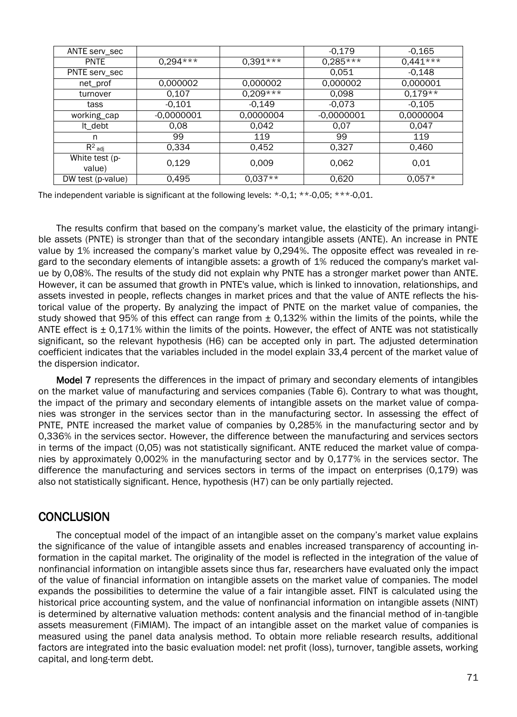| ANTE serv_sec     |              |            | $-0.179$     | $-0.165$   |
|-------------------|--------------|------------|--------------|------------|
| <b>PNTE</b>       | $0.294***$   | $0,391***$ | $0.285***$   | $0.441***$ |
| PNTE serv_sec     |              |            | 0.051        | $-0.148$   |
| net_prof          | 0,000002     | 0.000002   | 0,000002     | 0,000001   |
| turnover          | 0,107        | $0.209***$ | 0,098        | $0.179**$  |
| tass              | $-0,101$     | $-0,149$   | $-0,073$     | $-0.105$   |
| working_cap       | $-0,0000001$ | 0,0000004  | $-0,0000001$ | 0,0000004  |
| It debt           | 0.08         | 0.042      | 0.07         | 0.047      |
| n                 | 99           | 119        | 99           | 119        |
| $R^2$ adj         | 0.334        | 0.452      | 0.327        | 0.460      |
| White test (p-    | 0,129        | 0.009      | 0,062        | 0.01       |
| value)            |              |            |              |            |
| DW test (p-value) | 0,495        | $0.037**$  | 0,620        | $0.057*$   |

The independent variable is significant at the following levels: \*-0,1; \*\*-0,05; \*\*\*-0,01.

The results confirm that based on the company's market value, the elasticity of the primary intangible assets (PNTE) is stronger than that of the secondary intangible assets (ANTE). An increase in PNTE value by 1% increased the company's market value by 0,294%. The opposite effect was revealed in regard to the secondary elements of intangible assets: a growth of 1% reduced the company's market value by 0,08%. The results of the study did not explain why PNTE has a stronger market power than ANTE. However, it can be assumed that growth in PNTE's value, which is linked to innovation, relationships, and assets invested in people, reflects changes in market prices and that the value of ANTE reflects the historical value of the property. By analyzing the impact of PNTE on the market value of companies, the study showed that 95% of this effect can range from  $\pm$  0.132% within the limits of the points, while the ANTE effect is  $\pm$  0.171% within the limits of the points. However, the effect of ANTE was not statistically significant, so the relevant hypothesis (H6) can be accepted only in part. The adjusted determination coefficient indicates that the variables included in the model explain 33,4 percent of the market value of the dispersion indicator.

Model 7 represents the differences in the impact of primary and secondary elements of intangibles on the market value of manufacturing and services companies (Table 6). Contrary to what was thought, the impact of the primary and secondary elements of intangible assets on the market value of companies was stronger in the services sector than in the manufacturing sector. In assessing the effect of PNTE, PNTE increased the market value of companies by 0,285% in the manufacturing sector and by 0,336% in the services sector. However, the difference between the manufacturing and services sectors in terms of the impact (0,05) was not statistically significant. ANTE reduced the market value of companies by approximately 0,002% in the manufacturing sector and by 0,177% in the services sector. The difference the manufacturing and services sectors in terms of the impact on enterprises (0,179) was also not statistically significant. Hence, hypothesis (H7) can be only partially rejected.

## **CONCLUSION**

The conceptual model of the impact of an intangible asset on the company's market value explains the significance of the value of intangible assets and enables increased transparency of accounting information in the capital market. The originality of the model is reflected in the integration of the value of nonfinancial information on intangible assets since thus far, researchers have evaluated only the impact of the value of financial information on intangible assets on the market value of companies. The model expands the possibilities to determine the value of a fair intangible asset. FINT is calculated using the historical price accounting system, and the value of nonfinancial information on intangible assets (NINT) is determined by alternative valuation methods: content analysis and the financial method of in-tangible assets measurement (FiMIAM). The impact of an intangible asset on the market value of companies is measured using the panel data analysis method. To obtain more reliable research results, additional factors are integrated into the basic evaluation model: net profit (loss), turnover, tangible assets, working capital, and long-term debt.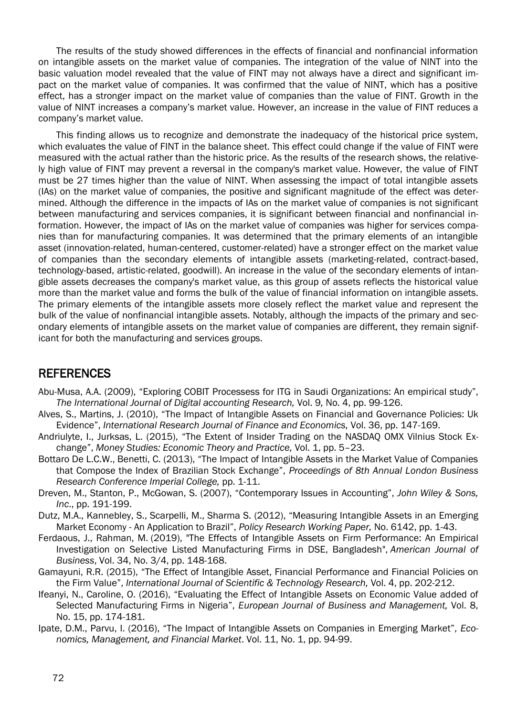The results of the study showed differences in the effects of financial and nonfinancial information on intangible assets on the market value of companies. The integration of the value of NINT into the basic valuation model revealed that the value of FINT may not always have a direct and significant impact on the market value of companies. It was confirmed that the value of NINT, which has a positive effect, has a stronger impact on the market value of companies than the value of FINT. Growth in the value of NINT increases a company's market value. However, an increase in the value of FINT reduces a company's market value.

This finding allows us to recognize and demonstrate the inadequacy of the historical price system, which evaluates the value of FINT in the balance sheet. This effect could change if the value of FINT were measured with the actual rather than the historic price. As the results of the research shows, the relatively high value of FINT may prevent a reversal in the company's market value. However, the value of FINT must be 27 times higher than the value of NINT. When assessing the impact of total intangible assets (IAs) on the market value of companies, the positive and significant magnitude of the effect was determined. Although the difference in the impacts of IAs on the market value of companies is not significant between manufacturing and services companies, it is significant between financial and nonfinancial information. However, the impact of IAs on the market value of companies was higher for services companies than for manufacturing companies. It was determined that the primary elements of an intangible asset (innovation-related, human-centered, customer-related) have a stronger effect on the market value of companies than the secondary elements of intangible assets (marketing-related, contract-based, technology-based, artistic-related, goodwill). An increase in the value of the secondary elements of intangible assets decreases the company's market value, as this group of assets reflects the historical value more than the market value and forms the bulk of the value of financial information on intangible assets. The primary elements of the intangible assets more closely reflect the market value and represent the bulk of the value of nonfinancial intangible assets. Notably, although the impacts of the primary and secondary elements of intangible assets on the market value of companies are different, they remain significant for both the manufacturing and services groups.

## REFERENCES

- Abu-Musa, A.A. (2009), "Exploring COBIT Processess for ITG in Saudi Organizations: An empirical study", *The International Journal of Digital accounting Research,* Vol. 9*,* No. 4, pp. 99-126.
- Alves, S., Martins, J. (2010), "The Impact of Intangible Assets on Financial and Governance Policies: Uk Evidence", *International Research Journal of Finance and Economics,* Vol. 36, pp. 147-169.
- Andriulyte, I., Jurksas, L. (2015), "The Extent of Insider Trading on the NASDAQ OMX Vilnius Stock Exchange", *Money Studies: Economic Theory and Practice,* Vol. 1, pp. 5–23.
- Bottaro De L.C.W., Benetti, C. (2013), "The Impact of Intangible Assets in the Market Value of Companies that Compose the Index of Brazilian Stock Exchange", *Proceedings of 8th Annual London Business Research Conference Imperial College,* pp. 1-11.
- Dreven, M., Stanton, P., McGowan, S. (2007), "Contemporary Issues in Accounting", *John Wiley & Sons, Inc*., pp. 191-199.
- Dutz, M.A., Kannebley, S., Scarpelli, M., Sharma S. (2012), "Measuring Intangible Assets in an Emerging Market Economy - An Application to Brazil", *Policy Research Working Paper,* No. 6142, pp. 1-43.
- [Ferdaous, J.,](https://www.emerald.com/insight/search?q=Jannatul%20Ferdaous) [Rahman, M.](https://www.emerald.com/insight/search?q=Mohammad%20Mizanur%20Rahman) (2019), "The Effects of Intangible Assets on Firm Performance: An Empirical Investigation on Selective Listed Manufacturing Firms in DSE, Bangladesh", *[American Journal of](https://www.emerald.com/insight/publication/issn/1935-5181)  [Business](https://www.emerald.com/insight/publication/issn/1935-5181)*, Vol. 34, No. 3/4, pp. 148-168.
- Gamayuni, R.R. (2015), "The Effect of Intangible Asset, Financial Performance and Financial Policies on the Firm Value", *International Journal of Scientific & Technology Research,* Vol. 4, pp. 202-212.
- Ifeanyi, N., Caroline, O. (2016), "Evaluating the Effect of Intangible Assets on Economic Value added of Selected Manufacturing Firms in Nigeria", *European Journal of Business and Management,* Vol. 8, No. 15, pp. 174-181.
- Ipate, D.M., Parvu, I. (2016), "The Impact of Intangible Assets on Companies in Emerging Market", *Economics, Management, and Financial Market*. Vol. 11, No. 1, pp. 94-99.